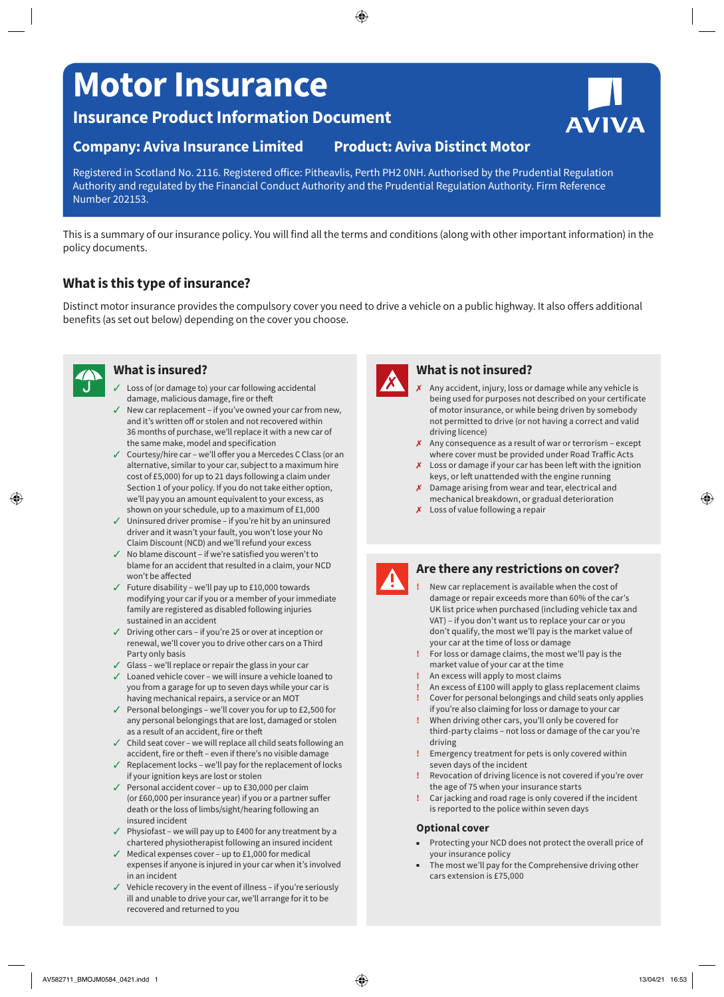# **Motor Insurance**

**Insurance Product Information Document**

# **Company: Aviva Insurance Limited Product: Aviva Distinct Motor**

Registered in Scotland No. 2116. Registered office: Pitheavlis, Perth PH2 0NH. Authorised by the Prudential Regulation Authority and regulated by the Financial Conduct Authority and the Prudential Regulation Authority. Firm Reference Number 202153.

#### This is a summary of our insurance policy. You will find all the terms and conditions (along with other important information) in the policy documents.

## **What is this type of insurance?**

Distinct motor insurance provides the compulsory cover you need to drive a vehicle on a public highway. It also offers additional benefits (as set out below) depending on the cover you choose.



## **What is insured?**

- $\checkmark$  Loss of (or damage to) your car following accidental damage, malicious damage, fire or theft
- $\checkmark$  New car replacement if you've owned your car from new, and it's written off or stolen and not recovered within 36 months of purchase, we'll replace it with a new car of the same make, model and specification
- $\checkmark$  Courtesy/hire car we'll offer you a Mercedes C Class (or an alternative, similar to your car, subject to a maximum hire cost of £5,000) for up to 21 days following a claim under Section 1 of your policy. If you do not take either option, we'll pay you an amount equivalent to your excess, as shown on your schedule, up to a maximum of £1,000
- $\checkmark$  Uninsured driver promise if you're hit by an uninsured driver and it wasn't your fault, you won't lose your No Claim Discount (NCD) and we'll refund your excess
- $\checkmark$  No blame discount if we're satisfied you weren't to blame for an accident that resulted in a claim, your NCD won't be affected
- $\checkmark$  Future disability we'll pay up to £10,000 towards modifying your car if you or a member of your immediate family are registered as disabled following injuries sustained in an accident
- $\checkmark$  Driving other cars if you're 25 or over at inception or renewal, we'll cover you to drive other cars on a Third Party only basis
- $\checkmark$  Glass we'll replace or repair the glass in your car
- $\checkmark$  Loaned vehicle cover we will insure a vehicle loaned to you from a garage for up to seven days while your car is having mechanical repairs, a service or an MOT
- $\checkmark$  Personal belongings we'll cover you for up to £2,500 for any personal belongings that are lost, damaged or stolen as a result of an accident, fire or theft
- $\checkmark$  Child seat cover we will replace all child seats following an accident, fire or theft – even if there's no visible damage
- $\checkmark$  Replacement locks we'll pay for the replacement of locks if your ignition keys are lost or stolen
- $\checkmark$  Personal accident cover up to £30,000 per claim (or £60,000 per insurance year) if you or a partner suffer death or the loss of limbs/sight/hearing following an insured incident
- $\checkmark$  Physiofast we will pay up to £400 for any treatment by a chartered physiotherapist following an insured incident
- $\checkmark$  Medical expenses cover up to £1,000 for medical expenses if anyone is injured in your car when it's involved in an incident
- Vehicle recovery in the event of illness if you're seriously ill and unable to drive your car, we'll arrange for it to be recovered and returned to you



### **What is not insured?**

- Any accident, injury, loss or damage while any vehicle is being used for purposes not described on your certificate of motor insurance, or while being driven by somebody not permitted to drive (or not having a correct and valid driving licence)
- $\boldsymbol{\chi}$  Any consequence as a result of war or terrorism except where cover must be provided under Road Traffic Acts
- $\boldsymbol{\chi}$  Loss or damage if your car has been left with the ignition keys, or left unattended with the engine running
- $\chi$  Damage arising from wear and tear, electrical and mechanical breakdown, or gradual deterioration
- $x$  Loss of value following a repair



#### **Are there any restrictions on cover?**

- **!** New car replacement is available when the cost of damage or repair exceeds more than 60% of the car's UK list price when purchased (including vehicle tax and VAT) – if you don't want us to replace your car or you don't qualify, the most we'll pay is the market value of your car at the time of loss or damage
- **!** For loss or damage claims, the most we'll pay is the market value of your car at the time
- **!** An excess will apply to most claims
- **!** An excess of £100 will apply to glass replacement claims **!** Cover for personal belongings and child seats only applies if you're also claiming for loss or damage to your car
- **!** When driving other cars, you'll only be covered for third-party claims – not loss or damage of the car you're driving
- **!** Emergency treatment for pets is only covered within seven days of the incident
- **!** Revocation of driving licence is not covered if you're over the age of 75 when your insurance starts
- **!** Car jacking and road rage is only covered if the incident is reported to the police within seven days

#### **Optional cover**

- Protecting your NCD does not protect the overall price of your insurance policy
- The most we'll pay for the Comprehensive driving other cars extension is £75,000